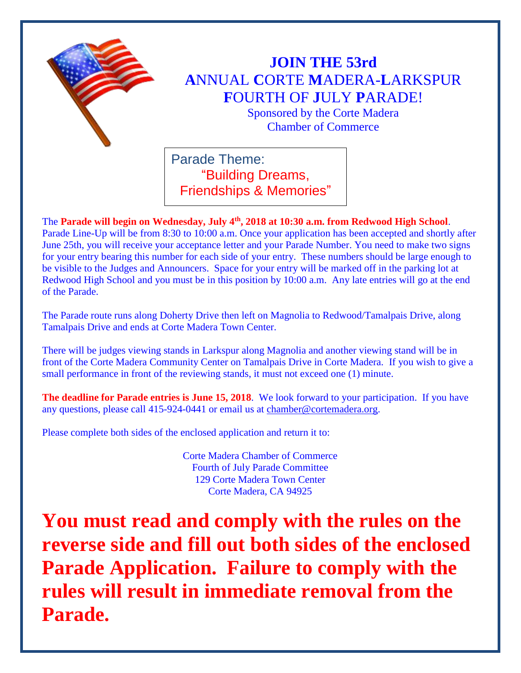

## **JOIN THE 53rd A**NNUAL **C**ORTE **M**ADERA-**L**ARKSPUR **F**OURTH OF **J**ULY **P**ARADE!

Sponsored by the Corte Madera Chamber of Commerce

Parade Theme: "Building Dreams, Friendships & Memories"

The **Parade will begin on Wednesday, July 4th, 2018 at 10:30 a.m. from Redwood High School**. Parade Line-Up will be from 8:30 to 10:00 a.m. Once your application has been accepted and shortly after June 25th, you will receive your acceptance letter and your Parade Number. You need to make two signs for your entry bearing this number for each side of your entry. These numbers should be large enough to be visible to the Judges and Announcers. Space for your entry will be marked off in the parking lot at Redwood High School and you must be in this position by 10:00 a.m. Any late entries will go at the end of the Parade.

The Parade route runs along Doherty Drive then left on Magnolia to Redwood/Tamalpais Drive, along Tamalpais Drive and ends at Corte Madera Town Center.

There will be judges viewing stands in Larkspur along Magnolia and another viewing stand will be in front of the Corte Madera Community Center on Tamalpais Drive in Corte Madera. If you wish to give a small performance in front of the reviewing stands, it must not exceed one (1) minute.

**The deadline for Parade entries is June 15, 2018**. We look forward to your participation. If you have any questions, please call 415-924-0441 or email us at [chamber@cortemadera.org.](mailto:chamber@cortemadera.org)

Please complete both sides of the enclosed application and return it to:

Corte Madera Chamber of Commerce Fourth of July Parade Committee 129 Corte Madera Town Center Corte Madera, CA 94925

**You must read and comply with the rules on the reverse side and fill out both sides of the enclosed Parade Application. Failure to comply with the rules will result in immediate removal from the Parade.**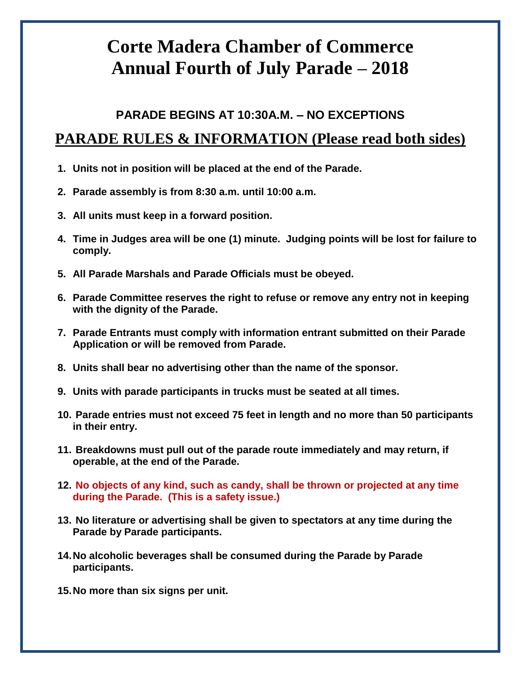## **Corte Madera Chamber of Commerce Annual Fourth of July Parade – 2018**

## **PARADE BEGINS AT 10:30A.M. – NO EXCEPTIONS PARADE RULES & INFORMATION (Please read both sides)**

- **1. Units not in position will be placed at the end of the Parade.**
- **2. Parade assembly is from 8:30 a.m. until 10:00 a.m.**
- **3. All units must keep in a forward position.**
- **4. Time in Judges area will be one (1) minute. Judging points will be lost for failure to comply.**
- **5. All Parade Marshals and Parade Officials must be obeyed.**
- **6. Parade Committee reserves the right to refuse or remove any entry not in keeping with the dignity of the Parade.**
- **7. Parade Entrants must comply with information entrant submitted on their Parade Application or will be removed from Parade.**
- **8. Units shall bear no advertising other than the name of the sponsor.**
- **9. Units with parade participants in trucks must be seated at all times.**
- **10. Parade entries must not exceed 75 feet in length and no more than 50 participants in their entry.**
- **11. Breakdowns must pull out of the parade route immediately and may return, if operable, at the end of the Parade.**
- **12. No objects of any kind, such as candy, shall be thrown or projected at any time during the Parade. (This is a safety issue.)**
- **13. No literature or advertising shall be given to spectators at any time during the Parade by Parade participants.**
- **14.No alcoholic beverages shall be consumed during the Parade by Parade participants.**
- **15.No more than six signs per unit.**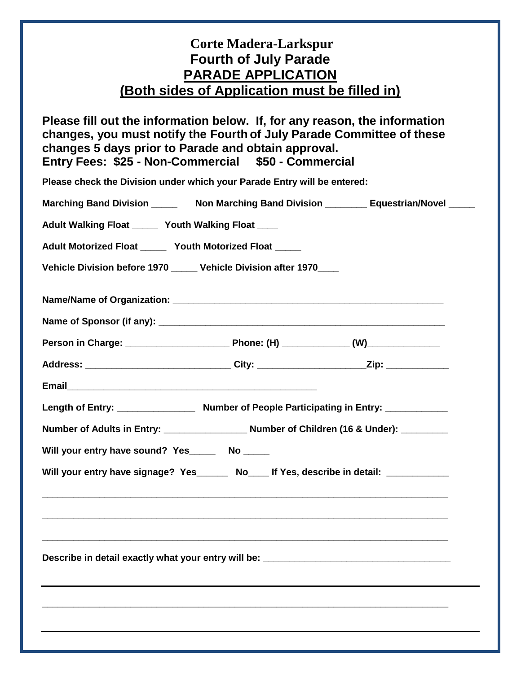## **Corte Madera-Larkspur Fourth of July Parade PARADE APPLICATION (Both sides of Application must be filled in)**

**Please fill out the information below. If, for any reason, the information changes, you must notify the Fourth of July Parade Committee of these changes 5 days prior to Parade and obtain approval. Entry Fees: \$25 - Non-Commercial \$50 - Commercial**

**Please check the Division under which your Parade Entry will be entered:**

|                                                                                    | Marching Band Division __________ Non Marching Band Division __________ Equestrian/Novel ______ |  |  |
|------------------------------------------------------------------------------------|-------------------------------------------------------------------------------------------------|--|--|
| Adult Walking Float ______ Youth Walking Float ____                                |                                                                                                 |  |  |
| Adult Motorized Float _____ Youth Motorized Float _____                            |                                                                                                 |  |  |
| Vehicle Division before 1970 _____ Vehicle Division after 1970____                 |                                                                                                 |  |  |
|                                                                                    |                                                                                                 |  |  |
|                                                                                    |                                                                                                 |  |  |
|                                                                                    |                                                                                                 |  |  |
|                                                                                    | Address: ______________________________City: ______________________Zip: ______________          |  |  |
|                                                                                    |                                                                                                 |  |  |
|                                                                                    |                                                                                                 |  |  |
|                                                                                    |                                                                                                 |  |  |
| Will your entry have sound? Yes_______ No _____                                    |                                                                                                 |  |  |
| Will your entry have signage? Yes______ No___ If Yes, describe in detail: ________ |                                                                                                 |  |  |
|                                                                                    |                                                                                                 |  |  |
|                                                                                    | ,我们也不能在这里的人,我们也不能在这里的人,我们也不能在这里的人,我们也不能在这里的人,我们也不能在这里的人,我们也不能在这里的人,我们也不能在这里的人,我们也               |  |  |
|                                                                                    |                                                                                                 |  |  |
| Describe in detail exactly what your entry will be: ____________________________   |                                                                                                 |  |  |
|                                                                                    |                                                                                                 |  |  |
|                                                                                    |                                                                                                 |  |  |
|                                                                                    |                                                                                                 |  |  |
|                                                                                    |                                                                                                 |  |  |